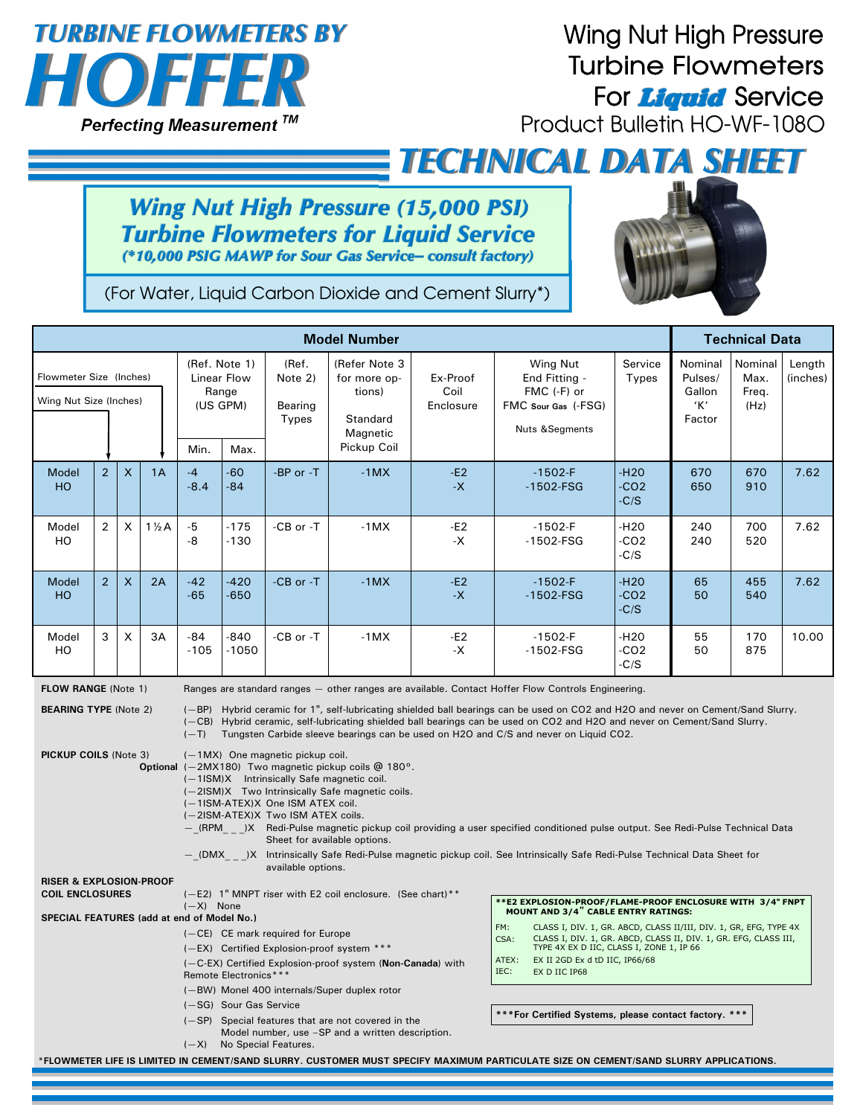

## **Wing Nut High Pressure Turbine Flowmeters** For **Liquid** Service

Product Bulletin HO-WF-108O

*TECHNICAL DATA SHEET*

## **Wing Nut High Pressure (15,000 PSI) Turbine Flowmeters for Liquid Service**<br>(\*10,000 PSIG MAWP for Sour Gas Service- consult factory)



(For Water, Liquid Carbon Dioxide and Cement Slurry\*)

| <b>Model Number</b>                                                                                                                                                                                                                                                                                                                                                                                                                                                                                                                                                                                                                                                                                                                                                                                                                                                                                                                                                                                                                                                                                                                                                  |                |                |                 |                                                                                                                                                                                                                                                                                                                                                                                                                                                                             |                   |                                             | <b>Technical Data</b>                                                          |                                                                                                                                                                                                                                                                                                                                                                                                                                                                                                                                                                                  |                                                                                              |                                                |                                               |                                  |                    |
|----------------------------------------------------------------------------------------------------------------------------------------------------------------------------------------------------------------------------------------------------------------------------------------------------------------------------------------------------------------------------------------------------------------------------------------------------------------------------------------------------------------------------------------------------------------------------------------------------------------------------------------------------------------------------------------------------------------------------------------------------------------------------------------------------------------------------------------------------------------------------------------------------------------------------------------------------------------------------------------------------------------------------------------------------------------------------------------------------------------------------------------------------------------------|----------------|----------------|-----------------|-----------------------------------------------------------------------------------------------------------------------------------------------------------------------------------------------------------------------------------------------------------------------------------------------------------------------------------------------------------------------------------------------------------------------------------------------------------------------------|-------------------|---------------------------------------------|--------------------------------------------------------------------------------|----------------------------------------------------------------------------------------------------------------------------------------------------------------------------------------------------------------------------------------------------------------------------------------------------------------------------------------------------------------------------------------------------------------------------------------------------------------------------------------------------------------------------------------------------------------------------------|----------------------------------------------------------------------------------------------|------------------------------------------------|-----------------------------------------------|----------------------------------|--------------------|
| Flowmeter Size (Inches)<br>Wing Nut Size (Inches)                                                                                                                                                                                                                                                                                                                                                                                                                                                                                                                                                                                                                                                                                                                                                                                                                                                                                                                                                                                                                                                                                                                    |                |                |                 | (Ref. Note 1)<br>Linear Flow<br>Range<br>(US GPM)<br>Min.<br>Max.                                                                                                                                                                                                                                                                                                                                                                                                           |                   | (Ref.<br>Note 2)<br>Bearing<br><b>Types</b> | (Refer Note 3<br>for more op-<br>tions)<br>Standard<br>Magnetic<br>Pickup Coil | Ex-Proof<br>Coil<br>Enclosure                                                                                                                                                                                                                                                                                                                                                                                                                                                                                                                                                    | Wing Nut<br>End Fitting -<br>FMC (-F) or<br>FMC Sour Gas (-FSG)<br><b>Nuts &amp;Segments</b> | Service<br>Types                               | Nominal<br>Pulses/<br>Gallon<br>'Κ'<br>Factor | Nominal<br>Max.<br>Freq.<br>(Hz) | Length<br>(inches) |
| Model<br><b>HO</b>                                                                                                                                                                                                                                                                                                                                                                                                                                                                                                                                                                                                                                                                                                                                                                                                                                                                                                                                                                                                                                                                                                                                                   | 2 <sup>2</sup> | $\mathsf{X}$   | 1A              | $-4$<br>$-8.4$                                                                                                                                                                                                                                                                                                                                                                                                                                                              | $-60$<br>$-84$    | -BP or -T                                   | $-1MX$                                                                         | -E2<br>$-X$                                                                                                                                                                                                                                                                                                                                                                                                                                                                                                                                                                      | $-1502-F$<br>$-1502$ -FSG                                                                    | -H <sub>20</sub><br>-CO <sub>2</sub><br>$-C/S$ | 670<br>650                                    | 670<br>910                       | 7.62               |
| Model<br>HO                                                                                                                                                                                                                                                                                                                                                                                                                                                                                                                                                                                                                                                                                                                                                                                                                                                                                                                                                                                                                                                                                                                                                          | $\overline{2}$ | X              | $1\frac{1}{2}A$ | $-5$<br>-8                                                                                                                                                                                                                                                                                                                                                                                                                                                                  | -175<br>$-130$    | -CB or -T                                   | $-1MX$                                                                         | -E2<br>-Х                                                                                                                                                                                                                                                                                                                                                                                                                                                                                                                                                                        | $-1502-F$<br>$-1502$ -FSG                                                                    | -H <sub>20</sub><br>-CO2<br>$-C/S$             | 240<br>240                                    | 700<br>520                       | 7.62               |
| Model<br>H <sub>O</sub>                                                                                                                                                                                                                                                                                                                                                                                                                                                                                                                                                                                                                                                                                                                                                                                                                                                                                                                                                                                                                                                                                                                                              | 2 <sup>1</sup> | $\pmb{\times}$ | 2A              | $-42$<br>$-65$                                                                                                                                                                                                                                                                                                                                                                                                                                                              | $-420$<br>$-650$  | -CB or -T                                   | $-1MX$                                                                         | $-E2$<br>$-X$                                                                                                                                                                                                                                                                                                                                                                                                                                                                                                                                                                    | $-1502-F$<br>$-1502$ -FSG                                                                    | $-H20$<br>$-CO2$<br>$-C/S$                     | 65<br>50                                      | 455<br>540                       | 7.62               |
| Model<br>HO                                                                                                                                                                                                                                                                                                                                                                                                                                                                                                                                                                                                                                                                                                                                                                                                                                                                                                                                                                                                                                                                                                                                                          | 3              | X              | 3A              | $-84$<br>$-105$                                                                                                                                                                                                                                                                                                                                                                                                                                                             | $-840$<br>$-1050$ | -CB or -T                                   | $-1MX$                                                                         | -E2<br>-Х                                                                                                                                                                                                                                                                                                                                                                                                                                                                                                                                                                        | $-1502-F$<br>$-1502$ -FSG                                                                    | -H <sub>20</sub><br>-CO2<br>$-C/S$             | 55<br>50                                      | 170<br>875                       | 10.00              |
| <b>FLOW RANGE (Note 1)</b><br>Ranges are standard ranges - other ranges are available. Contact Hoffer Flow Controls Engineering.<br><b>BEARING TYPE (Note 2)</b><br>(-BP) Hybrid ceramic for 1", self-lubricating shielded ball bearings can be used on CO2 and H2O and never on Cement/Sand Slurry.<br>(-CB) Hybrid ceramic, self-lubricating shielded ball bearings can be used on CO2 and H2O and never on Cement/Sand Slurry.<br>Tungsten Carbide sleeve bearings can be used on H2O and C/S and never on Liquid CO2.<br>$(-T)$<br>PICKUP COILS (Note 3)<br>(-1MX) One magnetic pickup coil.<br><b>Optional</b> $(-2MX180)$ Two magnetic pickup coils $@180^\circ$ .<br>(-1ISM)X Intrinsically Safe magnetic coil.<br>(-2ISM)X Two Intrinsically Safe magnetic coils.<br>(-1ISM-ATEX)X One ISM ATEX coil.<br>(-2ISM-ATEX)X Two ISM ATEX coils.<br>- (RPM) X Redi-Pulse magnetic pickup coil providing a user specified conditioned pulse output. See Redi-Pulse Technical Data<br>Sheet for available options.<br>- (DMX )X Intrinsically Safe Redi-Pulse magnetic pickup coil. See Intrinsically Safe Redi-Pulse Technical Data Sheet for<br>available options. |                |                |                 |                                                                                                                                                                                                                                                                                                                                                                                                                                                                             |                   |                                             |                                                                                |                                                                                                                                                                                                                                                                                                                                                                                                                                                                                                                                                                                  |                                                                                              |                                                |                                               |                                  |                    |
| <b>RISER &amp; EXPLOSION-PROOF</b><br><b>COIL ENCLOSURES</b><br>SPECIAL FEATURES (add at end of Model No.)                                                                                                                                                                                                                                                                                                                                                                                                                                                                                                                                                                                                                                                                                                                                                                                                                                                                                                                                                                                                                                                           |                |                |                 | (-E2) 1" MNPT riser with E2 coil enclosure. (See chart) **<br>$(-X)$ None<br>(-CE) CE mark required for Europe<br>(-EX) Certified Explosion-proof system ***<br>(-C-EX) Certified Explosion-proof system (Non-Canada) with<br>Remote Electronics***<br>(-BW) Monel 400 internals/Super duplex rotor<br>(-SG) Sour Gas Service<br>$(-SP)$ Special features that are not covered in the<br>Model number, use -SP and a written description.<br>No Special Features.<br>$(-X)$ |                   |                                             |                                                                                | **E2 EXPLOSION-PROOF/FLAME-PROOF ENCLOSURE WITH 3/4" FNPT<br><b>MOUNT AND 3/4" CABLE ENTRY RATINGS:</b><br>FM:<br>CLASS I, DIV. 1, GR. ABCD, CLASS II/III, DIV. 1, GR, EFG, TYPE 4X<br>CLASS I, DIV. 1, GR. ABCD, CLASS II, DIV. 1, GR. EFG, CLASS III,<br>CSA:<br>TYPE 4X EX D IIC, CLASS I, ZONE 1, IP 66<br>EX II 2GD Ex d tD IIC, IP66/68<br>ATEX:<br>IEC:<br>EX D IIC IP68<br>***For Certified Systems, please contact factory. ***<br>*FLOWMETER LIFE IS LIMITED IN CEMENT/SAND SLURRY. CUSTOMER MUST SPECIFY MAXIMUM PARTICULATE SIZE ON CEMENT/SAND SLURRY APPLICATIONS. |                                                                                              |                                                |                                               |                                  |                    |